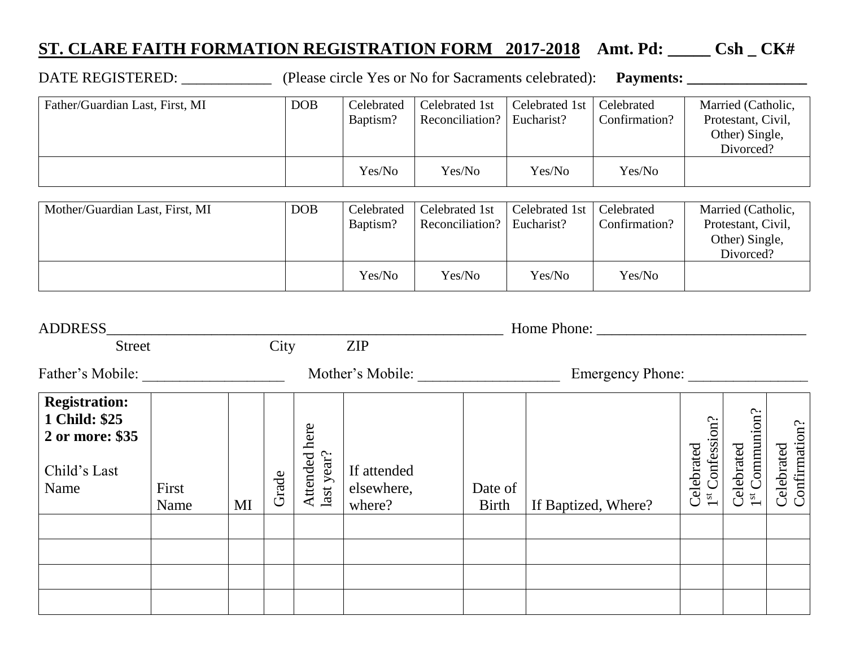## **ST. CLARE FAITH FORMATION REGISTRATION FORM 2017-2018 Amt. Pd: \_\_\_\_\_ Csh \_ CK#**

DATE REGISTERED: \_\_\_\_\_\_\_\_\_\_\_\_ (Please circle Yes or No for Sacraments celebrated): **Payments: \_\_\_\_\_\_\_\_\_\_\_\_\_\_\_\_**

Father/Guardian Last, First, MI DOB Celebrated Baptism? Celebrated 1st Reconciliation? Celebrated 1st Eucharist? **Celebrated** Confirmation? Married (Catholic, Protestant, Civil, Other) Single, Divorced? Yes/No Yes/No Yes/No Yes/No

| Mother/Guardian Last, First, MI | <b>DOB</b> | Celebrated<br>Baptism? | Celebrated 1st<br>Reconciliation?   Eucharist? | Celebrated 1st   Celebrated | Confirmation? | Married (Catholic,<br>Protestant, Civil,<br>Other) Single,<br>Divorced? |
|---------------------------------|------------|------------------------|------------------------------------------------|-----------------------------|---------------|-------------------------------------------------------------------------|
|                                 |            | Yes/No                 | Yes/No                                         | Yes/No                      | Yes/No        |                                                                         |

| <b>ADDRESS</b>                                                                   |               |      |                  |                                   |                                     |                         |                     |                                               |                                                                                             |                             |
|----------------------------------------------------------------------------------|---------------|------|------------------|-----------------------------------|-------------------------------------|-------------------------|---------------------|-----------------------------------------------|---------------------------------------------------------------------------------------------|-----------------------------|
| <b>Street</b>                                                                    |               | City |                  |                                   | <b>ZIP</b>                          |                         |                     |                                               |                                                                                             |                             |
| Father's Mobile:                                                                 |               |      | Mother's Mobile: |                                   | <b>Emergency Phone:</b>             |                         |                     |                                               |                                                                                             |                             |
| <b>Registration:</b><br>1 Child: \$25<br>2 or more: \$35<br>Child's Last<br>Name | First<br>Name | MI   | Grade            | here<br>year?<br>Attended<br>last | If attended<br>elsewhere,<br>where? | Date of<br><b>Birth</b> | If Baptized, Where? | on?<br>1 <sup>st</sup> Confessi<br>Celebrated | $\begin{minipage}{.4\linewidth} Celenated \\ 1^{st} \text{Common} \\ \hline \end{minipage}$ | Confirmation?<br>Celebrated |
|                                                                                  |               |      |                  |                                   |                                     |                         |                     |                                               |                                                                                             |                             |
|                                                                                  |               |      |                  |                                   |                                     |                         |                     |                                               |                                                                                             |                             |
|                                                                                  |               |      |                  |                                   |                                     |                         |                     |                                               |                                                                                             |                             |